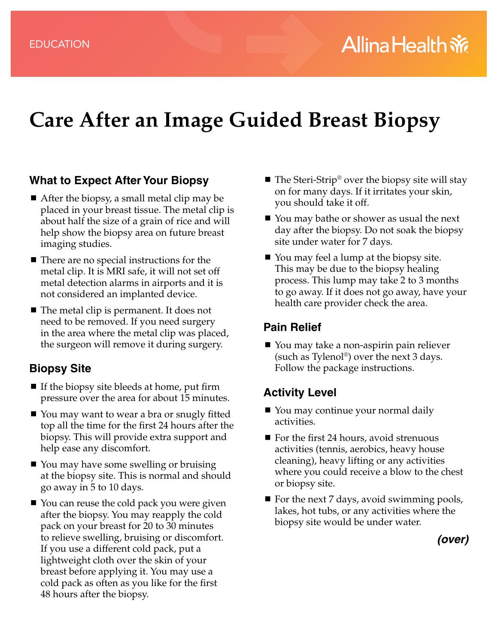# **Care After an Image Guided Breast Biopsy**

#### **What to Expect After Your Biopsy**

- After the biopsy, a small metal clip may be placed in your breast tissue. The metal clip is about half the size of a grain of rice and will help show the biopsy area on future breast imaging studies.
- $\blacksquare$  There are no special instructions for the metal clip. It is MRI safe, it will not set off metal detection alarms in airports and it is not considered an implanted device.
- The metal clip is permanent. It does not need to be removed. If you need surgery in the area where the metal clip was placed, the surgeon will remove it during surgery.

#### **Biopsy Site**

- If the biopsy site bleeds at home, put firm pressure over the area for about 15 minutes.
- You may want to wear a bra or snugly fitted top all the time for the first 24 hours after the biopsy. This will provide extra support and help ease any discomfort.
- You may have some swelling or bruising at the biopsy site. This is normal and should go away in 5 to 10 days.
- You can reuse the cold pack you were given after the biopsy. You may reapply the cold pack on your breast for 20 to 30 minutes to relieve swelling, bruising or discomfort. If you use a different cold pack, put a lightweight cloth over the skin of your breast before applying it. You may use a cold pack as often as you like for the first 48 hours after the biopsy.
- $\blacksquare$  The Steri-Strip® over the biopsy site will stay on for many days. If it irritates your skin, you should take it off.
- You may bathe or shower as usual the next day after the biopsy. Do not soak the biopsy site under water for 7 days.
- You may feel a lump at the biopsy site. This may be due to the biopsy healing process. This lump may take 2 to 3 months to go away. If it does not go away, have your health care provider check the area.

### **Pain Relief**

■ You may take a non-aspirin pain reliever (such as Tylenol®) over the next 3 days. Follow the package instructions.

## **Activity Level**

- You may continue your normal daily activities.
- $\blacksquare$  For the first 24 hours, avoid strenuous activities (tennis, aerobics, heavy house cleaning), heavy lifting or any activities where you could receive a blow to the chest or biopsy site.
- $\blacksquare$  For the next 7 days, avoid swimming pools, lakes, hot tubs, or any activities where the biopsy site would be under water.

*(over)*